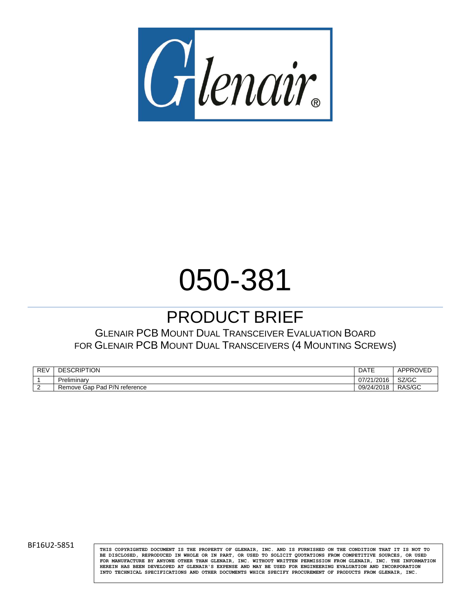

# 050-381

# PRODUCT BRIEF

GLENAIR PCB MOUNT DUAL TRANSCEIVER EVALUATION BOARD FOR GLENAIR PCB MOUNT DUAL TRANSCEIVERS (4 MOUNTING SCREWS)

| RE' | <b>DESCRIF</b><br>IUN                    | DATE                               | <b>ADDRC</b>  |
|-----|------------------------------------------|------------------------------------|---------------|
|     | Preliminary                              | 1004C<br>07<br>721720 <sup>°</sup> | 0700<br>אט/אפ |
|     | P/N<br>Pad<br>Remove<br>Gap<br>reference | 1001c<br>09/24/20<br>.             | RAS/GC        |

BF16U2-5851 **THIS COPYRIGHTED DOCUMENT IS THE PROPERTY** OF GLENAIR, INC. AND IS FURNISHED ON THE CONDITION THAT IT IS NOT TO **BE DISCLOSED, REPRODUCED IN WHOLE OR IN PART, OR USED TO SOLICIT QUOTATIONS FROM COMPETITIVE SOURCES, OR USED FOR MANUFACTURE BY ANYONE OTHER THAN GLENAIR, INC. WITHOUT WRITTEN PERMISSION FROM GLENAIR, INC. THE INFORMATION HEREIN HAS BEEN DEVELOPED AT GLENAIR'S EXPENSE AND MAY BE USED FOR ENGINEERING EVALUATION AND INCORPORATION INTO TECHNICAL SPECIFICATIONS AND OTHER DOCUMENTS WHICH SPECIFY PROCUREMENT OF PRODUCTS FROM GLENAIR, INC.**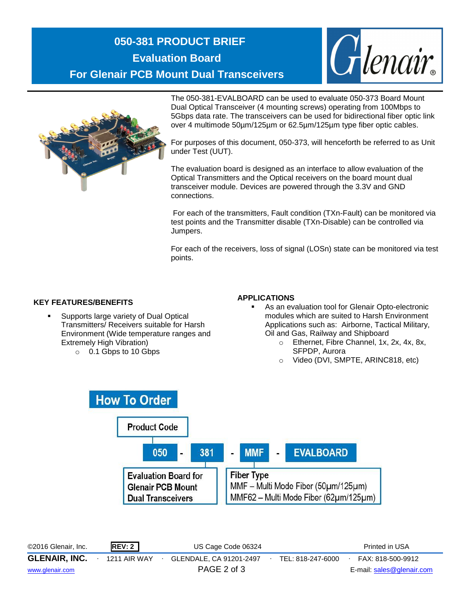### **050-381 PRODUCT BRIEF Evaluation Board For Glenair PCB Mount Dual Transceivers**





The 050-381-EVALBOARD can be used to evaluate 050-373 Board Mount Dual Optical Transceiver (4 mounting screws) operating from 100Mbps to 5Gbps data rate. The transceivers can be used for bidirectional fiber optic link over 4 multimode 50µm/125µm or 62.5µm/125µm type fiber optic cables.

For purposes of this document, 050-373, will henceforth be referred to as Unit under Test (UUT).

The evaluation board is designed as an interface to allow evaluation of the Optical Transmitters and the Optical receivers on the board mount dual transceiver module. Devices are powered through the 3.3V and GND connections.

For each of the transmitters, Fault condition (TXn-Fault) can be monitored via test points and the Transmitter disable (TXn-Disable) can be controlled via Jumpers.

For each of the receivers, loss of signal (LOSn) state can be monitored via test points.

#### **KEY FEATURES/BENEFITS**

- Supports large variety of Dual Optical Transmitters/ Receivers suitable for Harsh Environment (Wide temperature ranges and Extremely High Vibration)
	- o 0.1 Gbps to 10 Gbps

#### **APPLICATIONS**

- As an evaluation tool for Glenair Opto-electronic modules which are suited to Harsh Environment Applications such as: Airborne, Tactical Military, Oil and Gas, Railway and Shipboard
	- o Ethernet, Fibre Channel, 1x, 2x, 4x, 8x, SFPDP, Aurora
	- o Video (DVI, SMPTE, ARINC818, etc)



©2016 Glenair, Inc. **REV: 2** US Cage Code 06324 Printed in USA **GLENAIR, INC.** ∙ 1211 AIR WAY ∙ GLENDALE, CA 91201-2497∙ TEL: 818-247-6000∙ FAX: 818-500-9912 [www.glenair.com](http://www.glenair.com/) PAGE 2 of 3 E-mail: [sales@glenair.com](mailto:sales@glenair.com)